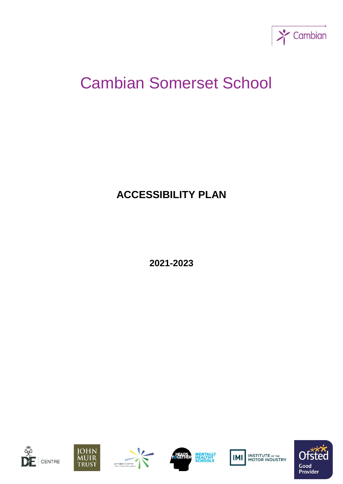

# Cambian Somerset School

# **ACCESSIBILITY PLAN**

**2021-2023**











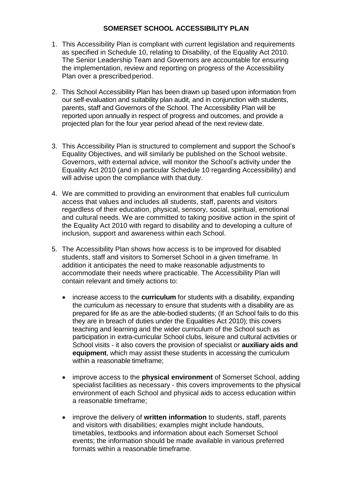#### **SOMERSET SCHOOL ACCESSIBILITY PLAN**

- 1. This Accessibility Plan is compliant with current legislation and requirements as specified in Schedule 10, relating to Disability, of the Equality Act 2010. The Senior Leadership Team and Governors are accountable for ensuring the implementation, review and reporting on progress of the Accessibility Plan over a prescribed period.
- 2. This School Accessibility Plan has been drawn up based upon information from our self-evaluation and suitability plan audit, and in conjunction with students, parents, staff and Governors of the School. The Accessibility Plan will be reported upon annually in respect of progress and outcomes, and provide a projected plan for the four year period ahead of the next review date.
- 3. This Accessibility Plan is structured to complement and support the School's Equality Objectives, and will similarly be published on the School website. Governors, with external advice, will monitor the School's activity under the Equality Act 2010 (and in particular Schedule 10 regarding Accessibility) and will advise upon the compliance with that duty.
- 4. We are committed to providing an environment that enables full curriculum access that values and includes all students, staff, parents and visitors regardless of their education, physical, sensory, social, spiritual, emotional and cultural needs. We are committed to taking positive action in the spirit of the Equality Act 2010 with regard to disability and to developing a culture of inclusion, support and awareness within each School.
- 5. The Accessibility Plan shows how access is to be improved for disabled students, staff and visitors to Somerset School in a given timeframe. In addition it anticipates the need to make reasonable adjustments to accommodate their needs where practicable. The Accessibility Plan will contain relevant and timely actions to:
	- increase access to the **curriculum** for students with a disability, expanding the curriculum as necessary to ensure that students with a disability are as prepared for life as are the able-bodied students; (If an School fails to do this they are in breach of duties under the Equalities Act 2010); this covers teaching and learning and the wider curriculum of the School such as participation in extra-curricular School clubs, leisure and cultural activities or School visits - it also covers the provision of specialist or **auxiliary aids and equipment**, which may assist these students in accessing the curriculum within a reasonable timeframe;
	- improve access to the **physical environment** of Somerset School, adding specialist facilities as necessary - this covers improvements to the physical environment of each School and physical aids to access education within a reasonable timeframe;
	- improve the delivery of **written information** to students, staff, parents and visitors with disabilities; examples might include handouts, timetables, textbooks and information about each Somerset School events; the information should be made available in various preferred formats within a reasonable timeframe.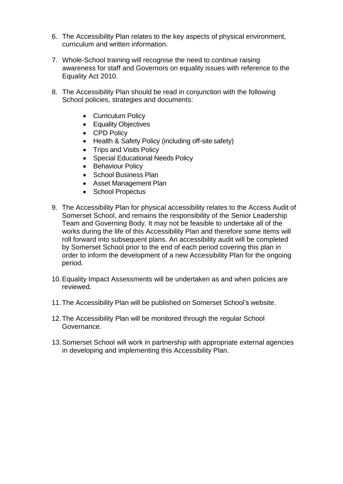- 6. The Accessibility Plan relates to the key aspects of physical environment, curriculum and written information.
- 7. Whole-School training will recognise the need to continue raising awareness for staff and Governors on equality issues with reference to the Equality Act 2010.
- 8. The Accessibility Plan should be read in conjunction with the following School policies, strategies and documents:
	- Curriculum Policy
	- Equality Objectives
	- CPD Policy
	- Health & Safety Policy (including off-site safety)
	- Trips and Visits Policy
	- Special Educational Needs Policy
	- Behaviour Policy
	- School Business Plan
	- Asset Management Plan
	- School Propectus
- 9. The Accessibility Plan for physical accessibility relates to the Access Audit of Somerset School, and remains the responsibility of the Senior Leadership Team and Governing Body. It may not be feasible to undertake all of the works during the life of this Accessibility Plan and therefore some items will roll forward into subsequent plans. An accessibility audit will be completed by Somerset School prior to the end of each period covering this plan in order to inform the development of a new Accessibility Plan for the ongoing period.
- 10.Equality Impact Assessments will be undertaken as and when policies are reviewed.
- 11.The Accessibility Plan will be published on Somerset School's website.
- 12.The Accessibility Plan will be monitored through the regular School Governance.
- 13.Somerset School will work in partnership with appropriate external agencies in developing and implementing this Accessibility Plan.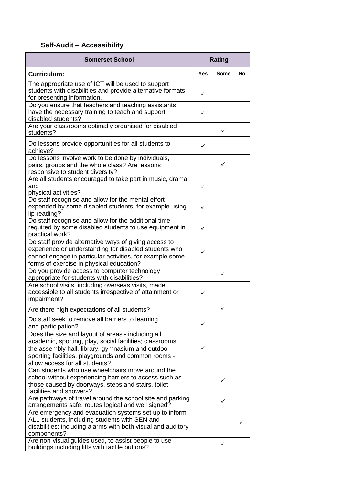### **Self-Audit – Accessibility**

| <b>Somerset School</b>                                                                                                                                                                                                                                      | <b>Rating</b> |              |           |
|-------------------------------------------------------------------------------------------------------------------------------------------------------------------------------------------------------------------------------------------------------------|---------------|--------------|-----------|
| <b>Curriculum:</b>                                                                                                                                                                                                                                          | <b>Yes</b>    | Some         | <b>No</b> |
| The appropriate use of ICT will be used to support<br>students with disabilities and provide alternative formats<br>for presenting information.                                                                                                             | ✓             |              |           |
| Do you ensure that teachers and teaching assistants<br>have the necessary training to teach and support<br>disabled students?                                                                                                                               | ✓             |              |           |
| Are your classrooms optimally organised for disabled<br>students?                                                                                                                                                                                           |               | $\checkmark$ |           |
| Do lessons provide opportunities for all students to<br>achieve?                                                                                                                                                                                            | ✓             |              |           |
| Do lessons involve work to be done by individuals,<br>pairs, groups and the whole class? Are lessons<br>responsive to student diversity?                                                                                                                    |               | ✓            |           |
| Are all students encouraged to take part in music, drama<br>and<br>physical activities?                                                                                                                                                                     | ✓             |              |           |
| Do staff recognise and allow for the mental effort<br>expended by some disabled students, for example using<br>lip reading?                                                                                                                                 | ✓             |              |           |
| Do staff recognise and allow for the additional time<br>required by some disabled students to use equipment in<br>practical work?                                                                                                                           | ✓             |              |           |
| Do staff provide alternative ways of giving access to<br>experience or understanding for disabled students who<br>cannot engage in particular activities, for example some<br>forms of exercise in physical education?                                      | ✓             |              |           |
| Do you provide access to computer technology<br>appropriate for students with disabilities?                                                                                                                                                                 |               | $\checkmark$ |           |
| Are school visits, including overseas visits, made<br>accessible to all students irrespective of attainment or<br>impairment?                                                                                                                               | ✓             |              |           |
| Are there high expectations of all students?                                                                                                                                                                                                                |               | ✓            |           |
| Do staff seek to remove all barriers to learning<br>and participation?                                                                                                                                                                                      | $\checkmark$  |              |           |
| Does the size and layout of areas - including all<br>academic, sporting, play, social facilities; classrooms,<br>the assembly hall, library, gymnasium and outdoor<br>sporting facilities, playgrounds and common rooms -<br>allow access for all students? | ✓             |              |           |
| Can students who use wheelchairs move around the<br>school without experiencing barriers to access such as<br>those caused by doorways, steps and stairs, toilet<br>facilities and showers?                                                                 |               | ✓            |           |
| Are pathways of travel around the school site and parking<br>arrangements safe, routes logical and well signed?                                                                                                                                             |               | ✓            |           |
| Are emergency and evacuation systems set up to inform<br>ALL students, including students with SEN and<br>disabilities; including alarms with both visual and auditory<br>components?                                                                       |               |              |           |
| Are non-visual guides used, to assist people to use<br>buildings including lifts with tactile buttons?                                                                                                                                                      |               | ✓            |           |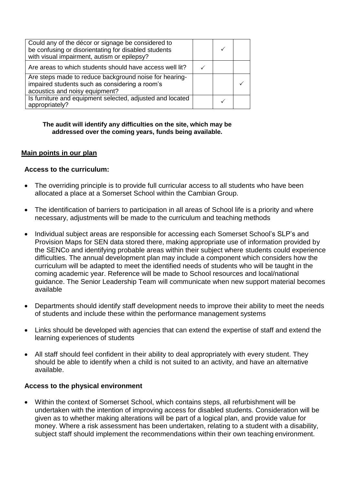| Could any of the décor or signage be considered to<br>be confusing or disorientating for disabled students<br>with visual impairment, autism or epilepsy? |  |  |
|-----------------------------------------------------------------------------------------------------------------------------------------------------------|--|--|
| Are areas to which students should have access well lit?                                                                                                  |  |  |
| Are steps made to reduce background noise for hearing-<br>impaired students such as considering a room's<br>acoustics and noisy equipment?                |  |  |
| Is furniture and equipment selected, adjusted and located<br>appropriately?                                                                               |  |  |

#### **The audit will identify any difficulties on the site, which may be addressed over the coming years, funds being available.**

#### **Main points in our plan**

#### **Access to the curriculum:**

- The overriding principle is to provide full curricular access to all students who have been allocated a place at a Somerset School within the Cambian Group.
- The identification of barriers to participation in all areas of School life is a priority and where necessary, adjustments will be made to the curriculum and teaching methods
- Individual subject areas are responsible for accessing each Somerset School's SLP's and Provision Maps for SEN data stored there, making appropriate use of information provided by the SENCo and identifying probable areas within their subject where students could experience difficulties. The annual development plan may include a component which considers how the curriculum will be adapted to meet the identified needs of students who will be taught in the coming academic year. Reference will be made to School resources and local/national guidance. The Senior Leadership Team will communicate when new support material becomes available
- Departments should identify staff development needs to improve their ability to meet the needs of students and include these within the performance management systems
- Links should be developed with agencies that can extend the expertise of staff and extend the learning experiences of students
- All staff should feel confident in their ability to deal appropriately with every student. They should be able to identify when a child is not suited to an activity, and have an alternative available.

#### **Access to the physical environment**

• Within the context of Somerset School, which contains steps, all refurbishment will be undertaken with the intention of improving access for disabled students. Consideration will be given as to whether making alterations will be part of a logical plan, and provide value for money. Where a risk assessment has been undertaken, relating to a student with a disability, subject staff should implement the recommendations within their own teaching environment.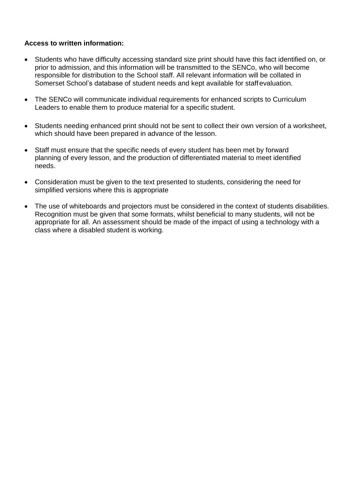#### **Access to written information:**

- Students who have difficulty accessing standard size print should have this fact identified on, or prior to admission, and this information will be transmitted to the SENCo, who will become responsible for distribution to the School staff. All relevant information will be collated in Somerset School's database of student needs and kept available for staffevaluation.
- The SENCo will communicate individual requirements for enhanced scripts to Curriculum Leaders to enable them to produce material for a specific student.
- Students needing enhanced print should not be sent to collect their own version of a worksheet, which should have been prepared in advance of the lesson.
- Staff must ensure that the specific needs of every student has been met by forward planning of every lesson, and the production of differentiated material to meet identified needs.
- Consideration must be given to the text presented to students, considering the need for simplified versions where this is appropriate
- The use of whiteboards and projectors must be considered in the context of students disabilities. Recognition must be given that some formats, whilst beneficial to many students, will not be appropriate for all. An assessment should be made of the impact of using a technology with a class where a disabled student is working.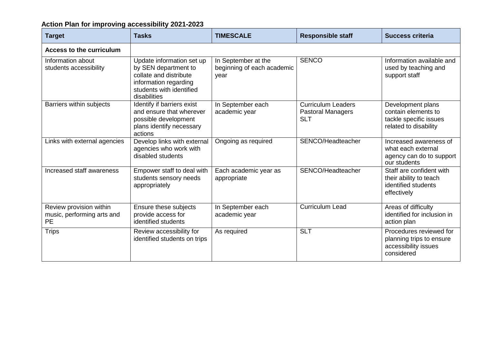## **Action Plan for improving accessibility 2021-2023**

| <b>Target</b>                                                      | <b>Tasks</b>                                                                                                                                     | <b>TIMESCALE</b>                                          | <b>Responsible staff</b>                                            | <b>Success criteria</b>                                                                     |
|--------------------------------------------------------------------|--------------------------------------------------------------------------------------------------------------------------------------------------|-----------------------------------------------------------|---------------------------------------------------------------------|---------------------------------------------------------------------------------------------|
| <b>Access to the curriculum</b>                                    |                                                                                                                                                  |                                                           |                                                                     |                                                                                             |
| Information about<br>students accessibility                        | Update information set up<br>by SEN department to<br>collate and distribute<br>information regarding<br>students with identified<br>disabilities | In September at the<br>beginning of each academic<br>year | <b>SENCO</b>                                                        | Information available and<br>used by teaching and<br>support staff                          |
| Barriers within subjects                                           | Identify if barriers exist<br>and ensure that wherever<br>possible development<br>plans identify necessary<br>actions                            | In September each<br>academic year                        | <b>Curriculum Leaders</b><br><b>Pastoral Managers</b><br><b>SLT</b> | Development plans<br>contain elements to<br>tackle specific issues<br>related to disability |
| Links with external agencies                                       | Develop links with external<br>agencies who work with<br>disabled students                                                                       | Ongoing as required                                       | SENCO/Headteacher                                                   | Increased awareness of<br>what each external<br>agency can do to support<br>our students    |
| Increased staff awareness                                          | Empower staff to deal with<br>students sensory needs<br>appropriately                                                                            | Each academic year as<br>appropriate                      | SENCO/Headteacher                                                   | Staff are confident with<br>their ability to teach<br>identified students<br>effectively    |
| Review provision within<br>music, performing arts and<br><b>PE</b> | Ensure these subjects<br>provide access for<br>identified students                                                                               | In September each<br>academic year                        | <b>Curriculum Lead</b>                                              | Areas of difficulty<br>identified for inclusion in<br>action plan                           |
| <b>Trips</b>                                                       | Review accessibility for<br>identified students on trips                                                                                         | As required                                               | <b>SLT</b>                                                          | Procedures reviewed for<br>planning trips to ensure<br>accessibility issues<br>considered   |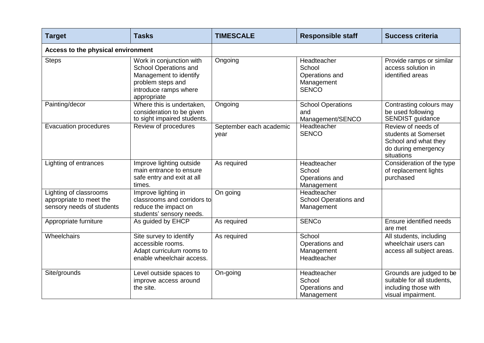| <b>Target</b>                                                                  | <b>Tasks</b>                                                                                                                             | <b>TIMESCALE</b>                | <b>Responsible staff</b>                                              | <b>Success criteria</b>                                                                                 |
|--------------------------------------------------------------------------------|------------------------------------------------------------------------------------------------------------------------------------------|---------------------------------|-----------------------------------------------------------------------|---------------------------------------------------------------------------------------------------------|
| Access to the physical environment                                             |                                                                                                                                          |                                 |                                                                       |                                                                                                         |
| <b>Steps</b>                                                                   | Work in conjunction with<br>School Operations and<br>Management to identify<br>problem steps and<br>introduce ramps where<br>appropriate | Ongoing                         | Headteacher<br>School<br>Operations and<br>Management<br><b>SENCO</b> | Provide ramps or similar<br>access solution in<br>identified areas                                      |
| Painting/decor                                                                 | Where this is undertaken,<br>consideration to be given<br>to sight impaired students.                                                    | Ongoing                         | <b>School Operations</b><br>and<br>Management/SENCO                   | Contrasting colours may<br>be used following<br>SENDIST guidance                                        |
| <b>Evacuation procedures</b>                                                   | Review of procedures                                                                                                                     | September each academic<br>year | Headteacher<br><b>SENCO</b>                                           | Review of needs of<br>students at Somerset<br>School and what they<br>do during emergency<br>situations |
| Lighting of entrances                                                          | Improve lighting outside<br>main entrance to ensure<br>safe entry and exit at all<br>times.                                              | As required                     | Headteacher<br>School<br>Operations and<br>Management                 | Consideration of the type<br>of replacement lights<br>purchased                                         |
| Lighting of classrooms<br>appropriate to meet the<br>sensory needs of students | Improve lighting in<br>classrooms and corridors to<br>reduce the impact on<br>students' sensory needs.                                   | On going                        | Headteacher<br>School Operations and<br>Management                    |                                                                                                         |
| Appropriate furniture                                                          | As guided by EHCP                                                                                                                        | As required                     | <b>SENCo</b>                                                          | Ensure identified needs<br>are met                                                                      |
| Wheelchairs                                                                    | Site survey to identify<br>accessible rooms.<br>Adapt curriculum rooms to<br>enable wheelchair access.                                   | As required                     | School<br>Operations and<br>Management<br>Headteacher                 | All students, including<br>wheelchair users can<br>access all subject areas.                            |
| Site/grounds                                                                   | Level outside spaces to<br>improve access around<br>the site.                                                                            | On-going                        | Headteacher<br>School<br>Operations and<br>Management                 | Grounds are judged to be<br>suitable for all students,<br>including those with<br>visual impairment.    |